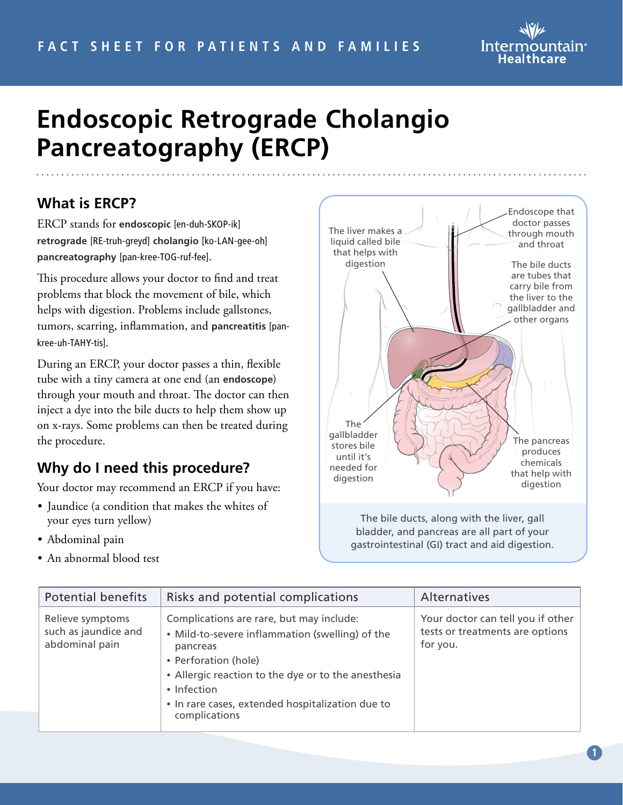

# **Endoscopic Retrograde Cholangio Pancreatography (ERCP)**

#### **What is ERCP?**

ERCP stands for **endoscopic** [en-duh-SKOP-ik] **retrograde** [RE-truh-greyd] **cholangio** [ko-LAN-gee-oh] **pancreatography** [pan-kree-TOG-ruf-fee].

This procedure allows your doctor to find and treat problems that block the movement of bile, which helps with digestion. Problems include gallstones, tumors, scarring, inflammation, and **pancreatitis** [pankree-uh-TAHY-tis].

During an ERCP, your doctor passes a thin, flexible tube with a tiny camera at one end (an **endoscope**) through your mouth and throat. The doctor can then inject a dye into the bile ducts to help them show up on x-rays. Some problems can then be treated during the procedure.

#### **Why do I need this procedure?**

Your doctor may recommend an ERCP if you have:

- Jaundice (a condition that makes the whites of your eyes turn yellow)
- Abdominal pain
- An abnormal blood test



The bile ducts, along with the liver, gall bladder, and pancreas are all part of your gastrointestinal (GI) tract and aid digestion.

| <b>Potential benefits</b>                                  | Risks and potential complications                                                                                                                                                                                                                                          | Alternatives                                                                     |
|------------------------------------------------------------|----------------------------------------------------------------------------------------------------------------------------------------------------------------------------------------------------------------------------------------------------------------------------|----------------------------------------------------------------------------------|
| Relieve symptoms<br>such as jaundice and<br>abdominal pain | Complications are rare, but may include:<br>• Mild-to-severe inflammation (swelling) of the<br>pancreas<br>• Perforation (hole)<br>• Allergic reaction to the dye or to the anesthesia<br>• Infection<br>• In rare cases, extended hospitalization due to<br>complications | Your doctor can tell you if other<br>tests or treatments are options<br>for you. |